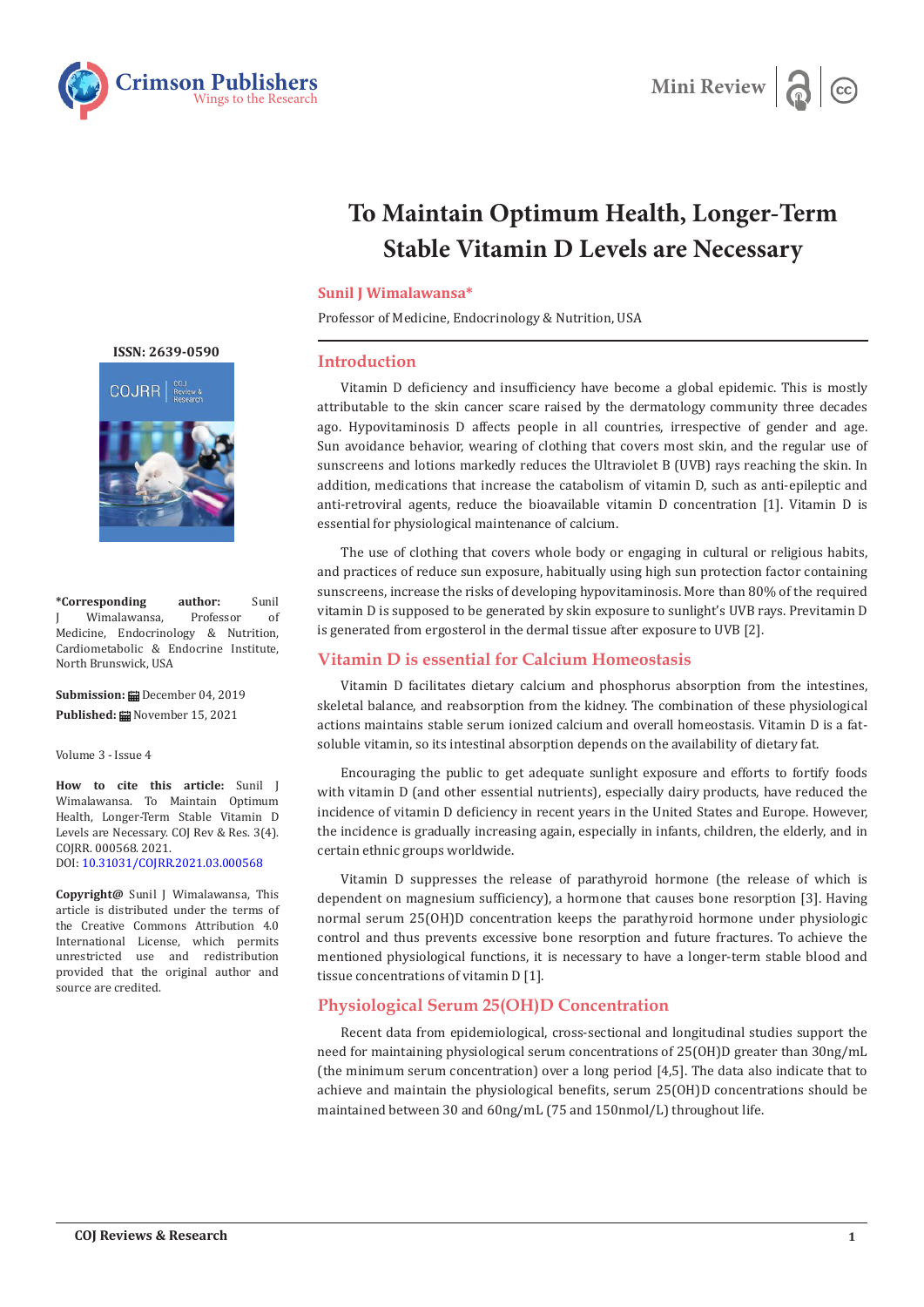



# **To Maintain Optimum Health, Longer-Term Stable Vitamin D Levels are Necessary**

#### **Sunil J Wimalawansa\***

Professor of Medicine, Endocrinology & Nutrition, USA

#### **Introduction**

Vitamin D deficiency and insufficiency have become a global epidemic. This is mostly attributable to the skin cancer scare raised by the dermatology community three decades ago. Hypovitaminosis D affects people in all countries, irrespective of gender and age. Sun avoidance behavior, wearing of clothing that covers most skin, and the regular use of sunscreens and lotions markedly reduces the Ultraviolet B (UVB) rays reaching the skin. In addition, medications that increase the catabolism of vitamin D, such as anti-epileptic and anti-retroviral agents, reduce the bioavailable vitamin D concentration [1]. Vitamin D is essential for physiological maintenance of calcium.

The use of clothing that covers whole body or engaging in cultural or religious habits, and practices of reduce sun exposure, habitually using high sun protection factor containing sunscreens, increase the risks of developing hypovitaminosis. More than 80% of the required vitamin D is supposed to be generated by skin exposure to sunlight's UVB rays. Previtamin D is generated from ergosterol in the dermal tissue after exposure to UVB [2].

# **Vitamin D is essential for Calcium Homeostasis**

Vitamin D facilitates dietary calcium and phosphorus absorption from the intestines, skeletal balance, and reabsorption from the kidney. The combination of these physiological actions maintains stable serum ionized calcium and overall homeostasis. Vitamin D is a fatsoluble vitamin, so its intestinal absorption depends on the availability of dietary fat.

Encouraging the public to get adequate sunlight exposure and efforts to fortify foods with vitamin D (and other essential nutrients), especially dairy products, have reduced the incidence of vitamin D deficiency in recent years in the United States and Europe. However, the incidence is gradually increasing again, especially in infants, children, the elderly, and in certain ethnic groups worldwide.

Vitamin D suppresses the release of parathyroid hormone (the release of which is dependent on magnesium sufficiency), a hormone that causes bone resorption [3]. Having normal serum 25(OH)D concentration keeps the parathyroid hormone under physiologic control and thus prevents excessive bone resorption and future fractures. To achieve the mentioned physiological functions, it is necessary to have a longer-term stable blood and tissue concentrations of vitamin D [1].

# **Physiological Serum 25(OH)D Concentration**

Recent data from epidemiological, cross-sectional and longitudinal studies support the need for maintaining physiological serum concentrations of 25(OH)D greater than 30ng/mL (the minimum serum concentration) over a long period [4,5]. The data also indicate that to achieve and maintain the physiological benefits, serum 25(OH)D concentrations should be maintained between 30 and 60ng/mL (75 and 150nmol/L) throughout life.

**[ISSN: 2639-0590](https://www.crimsonpublishers.com/cojrr/)**



**\*Corresponding author:** Sunil Wimalawansa, Medicine, Endocrinology & Nutrition, Cardiometabolic & Endocrine Institute, North Brunswick, USA

**Submission:** December 04, 2019 **Published:** November 15, 2021

Volume 3 - Issue 4

**How to cite this article:** Sunil J Wimalawansa. To Maintain Optimum Health, Longer-Term Stable Vitamin D Levels are Necessary. COJ Rev & Res. 3(4). COJRR. 000568. 2021. DOI: [10.31031/COJRR.2021.03.000568](http://dx.doi.org/10.31031/COJRR.2021.03.000568)

**Copyright@** Sunil J Wimalawansa, This article is distributed under the terms of the Creative Commons Attribution 4.0 International License, which permits unrestricted use and redistribution provided that the original author and source are credited.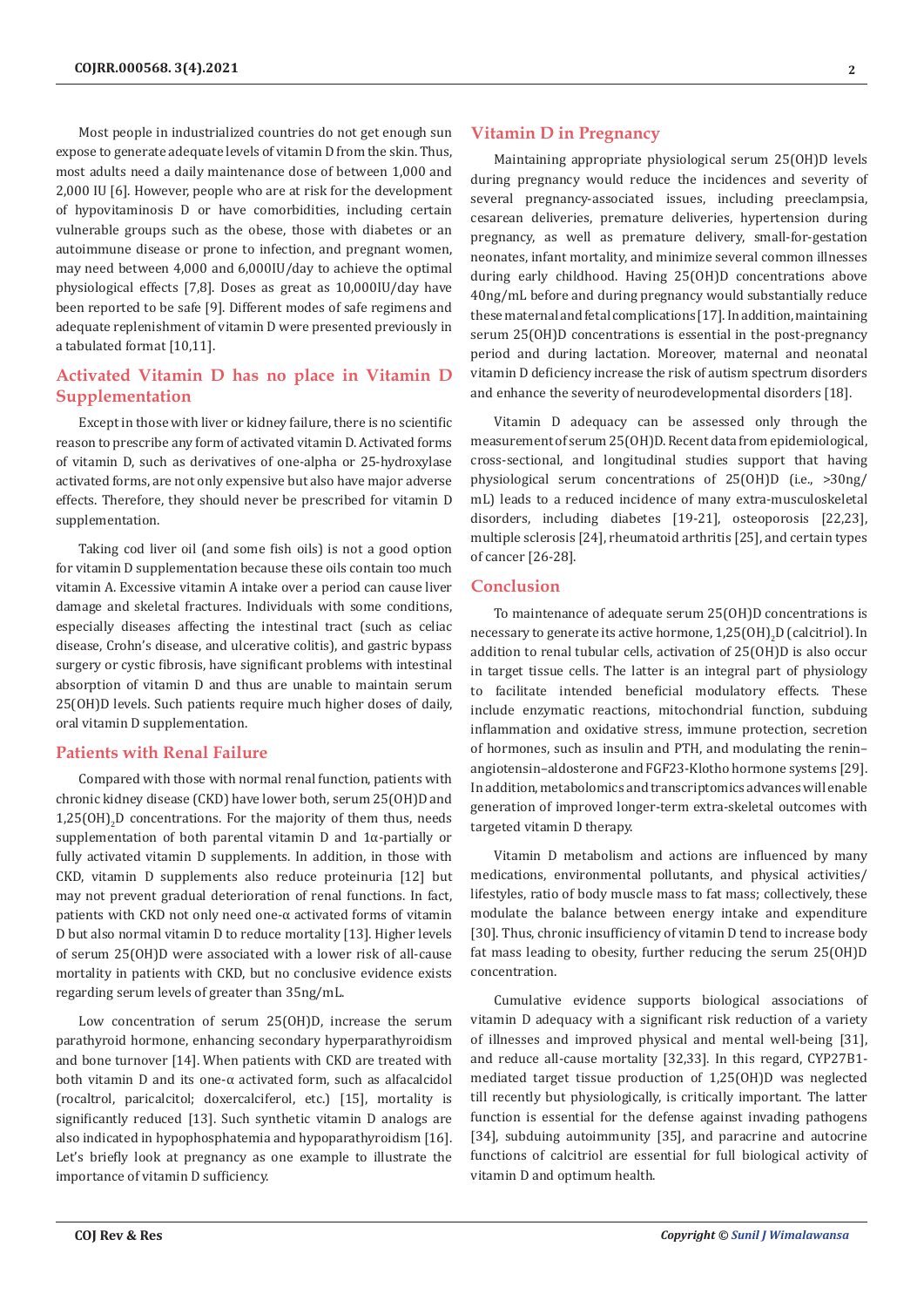Most people in industrialized countries do not get enough sun expose to generate adequate levels of vitamin D from the skin. Thus, most adults need a daily maintenance dose of between 1,000 and 2,000 IU [6]. However, people who are at risk for the development of hypovitaminosis D or have comorbidities, including certain vulnerable groups such as the obese, those with diabetes or an autoimmune disease or prone to infection, and pregnant women, may need between 4,000 and 6,000IU/day to achieve the optimal physiological effects [7,8]. Doses as great as 10,000IU/day have been reported to be safe [9]. Different modes of safe regimens and adequate replenishment of vitamin D were presented previously in a tabulated format [10,11].

# **Activated Vitamin D has no place in Vitamin D Supplementation**

Except in those with liver or kidney failure, there is no scientific reason to prescribe any form of activated vitamin D. Activated forms of vitamin D, such as derivatives of one-alpha or 25-hydroxylase activated forms, are not only expensive but also have major adverse effects. Therefore, they should never be prescribed for vitamin D supplementation.

Taking cod liver oil (and some fish oils) is not a good option for vitamin D supplementation because these oils contain too much vitamin A. Excessive vitamin A intake over a period can cause liver damage and skeletal fractures. Individuals with some conditions, especially diseases affecting the intestinal tract (such as celiac disease, Crohn's disease, and ulcerative colitis), and gastric bypass surgery or cystic fibrosis, have significant problems with intestinal absorption of vitamin D and thus are unable to maintain serum 25(OH)D levels. Such patients require much higher doses of daily, oral vitamin D supplementation.

### **Patients with Renal Failure**

Compared with those with normal renal function, patients with chronic kidney disease (CKD) have lower both, serum 25(OH)D and  $1,25(OH)<sub>2</sub>D$  concentrations. For the majority of them thus, needs supplementation of both parental vitamin D and 1α-partially or fully activated vitamin D supplements. In addition, in those with CKD, vitamin D supplements also reduce proteinuria [12] but may not prevent gradual deterioration of renal functions. In fact, patients with CKD not only need one-α activated forms of vitamin D but also normal vitamin D to reduce mortality [13]. Higher levels of serum 25(OH)D were associated with a lower risk of all-cause mortality in patients with CKD, but no conclusive evidence exists regarding serum levels of greater than 35ng/mL.

Low concentration of serum 25(OH)D, increase the serum parathyroid hormone, enhancing secondary hyperparathyroidism and bone turnover [14]. When patients with CKD are treated with both vitamin D and its one-α activated form, such as alfacalcidol (rocaltrol, paricalcitol; doxercalciferol, etc.) [15], mortality is significantly reduced [13]. Such synthetic vitamin D analogs are also indicated in hypophosphatemia and hypoparathyroidism [16]. Let's briefly look at pregnancy as one example to illustrate the importance of vitamin D sufficiency.

Maintaining appropriate physiological serum 25(OH)D levels during pregnancy would reduce the incidences and severity of several pregnancy-associated issues, including preeclampsia, cesarean deliveries, premature deliveries, hypertension during pregnancy, as well as premature delivery, small-for-gestation neonates, infant mortality, and minimize several common illnesses during early childhood. Having 25(OH)D concentrations above 40ng/mL before and during pregnancy would substantially reduce these maternal and fetal complications [17]. In addition, maintaining serum 25(OH)D concentrations is essential in the post-pregnancy period and during lactation. Moreover, maternal and neonatal vitamin D deficiency increase the risk of autism spectrum disorders and enhance the severity of neurodevelopmental disorders [18].

Vitamin D adequacy can be assessed only through the measurement of serum 25(OH)D. Recent data from epidemiological, cross-sectional, and longitudinal studies support that having physiological serum concentrations of 25(OH)D (i.e., >30ng/ mL) leads to a reduced incidence of many extra-musculoskeletal disorders, including diabetes [19-21], osteoporosis [22,23], multiple sclerosis [24], rheumatoid arthritis [25], and certain types of cancer [26-28].

## **Conclusion**

To maintenance of adequate serum 25(OH)D concentrations is necessary to generate its active hormone,  $1,25 \text{(OH)}_{2}$ D (calcitriol). In addition to renal tubular cells, activation of 25(OH)D is also occur in target tissue cells. The latter is an integral part of physiology to facilitate intended beneficial modulatory effects. These include enzymatic reactions, mitochondrial function, subduing inflammation and oxidative stress, immune protection, secretion of hormones, such as insulin and PTH, and modulating the renin– angiotensin–aldosterone and FGF23-Klotho hormone systems [29]. In addition, metabolomics and transcriptomics advances will enable generation of improved longer-term extra-skeletal outcomes with targeted vitamin D therapy.

Vitamin D metabolism and actions are influenced by many medications, environmental pollutants, and physical activities/ lifestyles, ratio of body muscle mass to fat mass; collectively, these modulate the balance between energy intake and expenditure [30]. Thus, chronic insufficiency of vitamin D tend to increase body fat mass leading to obesity, further reducing the serum 25(OH)D concentration.

Cumulative evidence supports biological associations of vitamin D adequacy with a significant risk reduction of a variety of illnesses and improved physical and mental well-being [31], and reduce all-cause mortality [32,33]. In this regard, CYP27B1 mediated target tissue production of 1,25(OH)D was neglected till recently but physiologically, is critically important. The latter function is essential for the defense against invading pathogens [34], subduing autoimmunity [35], and paracrine and autocrine functions of calcitriol are essential for full biological activity of vitamin D and optimum health.